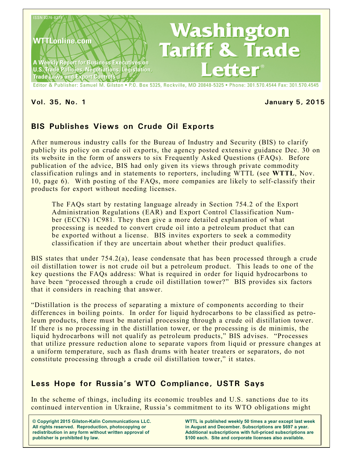

#### **Vol. 35, No. 1 January 5, 2015**

# **BIS Publishes Views on Crude Oil Exports**

After numerous industry calls for the Bureau of Industry and Security (BIS) to clarify publicly its policy on crude oil exports, the agency posted extensive guidance Dec. 30 on its website in the form of answers to six Frequently Asked Questions (FAQs). Before publication of the advice, BIS had only given its views through private commodity classification rulings and in statements to reporters, including WTTL (see **WTTL**, Nov. 10, page 6). With posting of the FAQs, more companies are likely to self-classify their products for export without needing licenses.

The FAQs start by restating language already in Section 754.2 of the Export Administration Regulations (EAR) and Export Control Classification Number (ECCN) 1C981. They then give a more detailed explanation of what processing is needed to convert crude oil into a petroleum product that can be exported without a license. BIS invites exporters to seek a commodity classification if they are uncertain about whether their product qualifies.

BIS states that under 754.2(a), lease condensate that has been processed through a crude oil distillation tower is not crude oil but a petroleum product. This leads to one of the key questions the FAQs address: What is required in order for liquid hydrocarbons to have been "processed through a crude oil distillation tower?" BIS provides six factors that it considers in reaching that answer.

"Distillation is the process of separating a mixture of components according to their differences in boiling points. In order for liquid hydrocarbons to be classified as petroleum products, there must be material processing through a crude oil distillation tower. If there is no processing in the distillation tower, or the processing is de minimis, the liquid hydrocarbons will not qualify as petroleum products," BIS advises. "Processes that utilize pressure reduction alone to separate vapors from liquid or pressure changes at a uniform temperature, such as flash drums with heater treaters or separators, do not constitute processing through a crude oil distillation tower," it states.

# **Less Hope for Russia's WTO Compliance, USTR Says**

In the scheme of things, including its economic troubles and U.S. sanctions due to its continued intervention in Ukraine, Russia's commitment to its WTO obligations might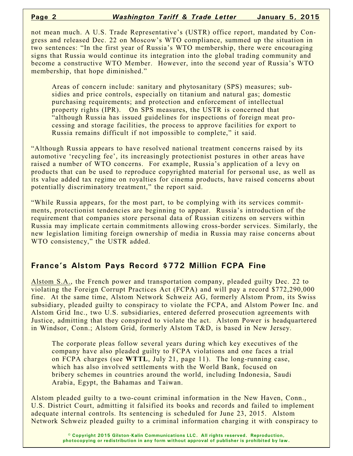not mean much. A U.S. Trade Representative's (USTR) office report, mandated by Congress and released Dec. 22 on Moscow's WTO compliance, summed up the situation in two sentences: "In the first year of Russia's WTO membership, there were encouraging signs that Russia would continue its integration into the global trading community and become a constructive WTO Member. However, into the second year of Russia's WTO membership, that hope diminished."

Areas of concern include: sanitary and phytosanitary (SPS) measures; subsidies and price controls, especially on titanium and natural gas; domestic purchasing requirements; and protection and enforcement of intellectual property rights (IPR). On SPS measures, the USTR is concerned that "although Russia has issued guidelines for inspections of foreign meat processing and storage facilities, the process to approve facilities for export to Russia remains difficult if not impossible to complete," it said.

"Although Russia appears to have resolved national treatment concerns raised by its automotive 'recycling fee', its increasingly protectionist postures in other areas have raised a number of WTO concerns. For example, Russia's application of a levy on products that can be used to reproduce copyrighted material for personal use, as well as its value added tax regime on royalties for cinema products, have raised concerns about potentially discriminatory treatment," the report said.

"While Russia appears, for the most part, to be complying with its services commitments, protectionist tendencies are beginning to appear. Russia's introduction of the requirement that companies store personal data of Russian citizens on servers within Russia may implicate certain commitments allowing cross-border services. Similarly, the new legislation limiting foreign ownership of media in Russia may raise concerns about WTO consistency," the USTR added.

## **France's Alstom Pays Record \$772 Million FCPA Fine**

Alstom S.A., the French power and transportation company, pleaded guilty Dec. 22 to violating the Foreign Corrupt Practices Act (FCPA) and will pay a record \$772,290,000 fine. At the same time, Alstom Network Schweiz AG, formerly Alstom Prom, its Swiss subsidiary, pleaded guilty to conspiracy to violate the FCPA, and Alstom Power Inc. and Alstom Grid Inc., two U.S. subsidiaries, entered deferred prosecution agreements with Justice, admitting that they conspired to violate the act. Alstom Power is headquartered in Windsor, Conn.; Alstom Grid, formerly Alstom T&D, is based in New Jersey.

The corporate pleas follow several years during which key executives of the company have also pleaded guilty to FCPA violations and one faces a trial on FCPA charges (see **WTTL**, July 21, page 11). The long-running case, which has also involved settlements with the World Bank, focused on bribery schemes in countries around the world, including Indonesia, Saudi Arabia, Egypt, the Bahamas and Taiwan.

Alstom pleaded guilty to a two-count criminal information in the New Haven, Conn., U.S. District Court, admitting it falsified its books and records and failed to implement adequate internal controls. Its sentencing is scheduled for June 23, 2015. Alstom Network Schweiz pleaded guilty to a criminal information charging it with conspiracy to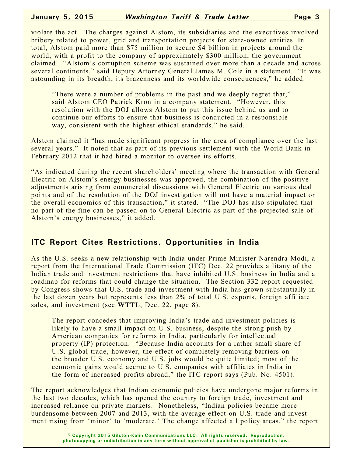violate the act. The charges against Alstom, its subsidiaries and the executives involved bribery related to power, grid and transportation projects for state-owned entities. In total, Alstom paid more than \$75 million to secure \$4 billion in projects around the world, with a profit to the company of approximately \$300 million, the government claimed. "Alstom's corruption scheme was sustained over more than a decade and across several continents," said Deputy Attorney General James M. Cole in a statement. "It was astounding in its breadth, its brazenness and its worldwide consequences," he added.

"There were a number of problems in the past and we deeply regret that," said Alstom CEO Patrick Kron in a company statement. "However, this resolution with the DOJ allows Alstom to put this issue behind us and to continue our efforts to ensure that business is conducted in a responsible way, consistent with the highest ethical standards," he said.

Alstom claimed it "has made significant progress in the area of compliance over the last several years." It noted that as part of its previous settlement with the World Bank in February 2012 that it had hired a monitor to oversee its efforts.

"As indicated during the recent shareholders' meeting where the transaction with General Electric on Alstom's energy businesses was approved, the combination of the positive adjustments arising from commercial discussions with General Electric on various deal points and of the resolution of the DOJ investigation will not have a material impact on the overall economics of this transaction," it stated. "The DOJ has also stipulated that no part of the fine can be passed on to General Electric as part of the projected sale of Alstom's energy businesses," it added.

## **ITC Report Cites Restrictions, Opportunities in India**

As the U.S. seeks a new relationship with India under Prime Minister Narendra Modi, a report from the International Trade Commission (ITC) Dec. 22 provides a litany of the Indian trade and investment restrictions that have inhibited U.S. business in India and a roadmap for reforms that could change the situation. The Section 332 report requested by Congress shows that U.S. trade and investment with India has grown substantially in the last dozen years but represents less than 2% of total U.S. exports, foreign affiliate sales, and investment (see **WTTL**, Dec. 22, page 8).

The report concedes that improving India's trade and investment policies is likely to have a small impact on U.S. business, despite the strong push by American companies for reforms in India, particularly for intellectual property (IP) protection. "Because India accounts for a rather small share of U.S. global trade, however, the effect of completely removing barriers on the broader U.S. economy and U.S. jobs would be quite limited; most of the economic gains would accrue to U.S. companies with affiliates in India in the form of increased profits abroad," the ITC report says (Pub. No. 4501).

The report acknowledges that Indian economic policies have undergone major reforms in the last two decades, which has opened the country to foreign trade, investment and increased reliance on private markets. Nonetheless, "Indian policies became more burdensome between 2007 and 2013, with the average effect on U.S. trade and investment rising from 'minor' to 'moderate.' The change affected all policy areas," the report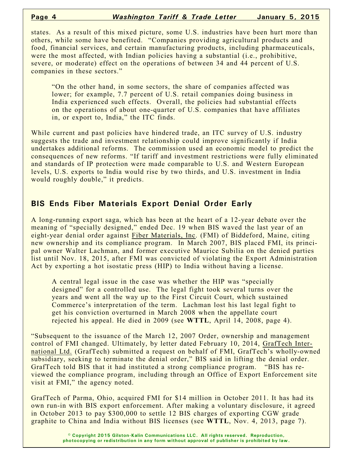states. As a result of this mixed picture, some U.S. industries have been hurt more than others, while some have benefited. "Companies providing agricultural products and food, financial services, and certain manufacturing products, including pharmaceuticals, were the most affected, with Indian policies having a substantial (i.e., prohibitive, severe, or moderate) effect on the operations of between 34 and 44 percent of U.S. companies in these sectors."

"On the other hand, in some sectors, the share of companies affected was lower; for example, 7.7 percent of U.S. retail companies doing business in India experienced such effects. Overall, the policies had substantial effects on the operations of about one-quarter of U.S. companies that have affiliates in, or export to, India," the ITC finds.

While current and past policies have hindered trade, an ITC survey of U.S. industry suggests the trade and investment relationship could improve significantly if India undertakes additional reforms. The commission used an economic model to predict the consequences of new reforms. "If tariff and investment restrictions were fully eliminated and standards of IP protection were made comparable to U.S. and Western European levels, U.S. exports to India would rise by two thirds, and U.S. investment in India would roughly double," it predicts.

## **BIS Ends Fiber Materials Export Denial Order Early**

A long-running export saga, which has been at the heart of a 12-year debate over the meaning of "specially designed," ended Dec. 19 when BIS waved the last year of an eight-year denial order against Fiber Materials, Inc. (FMI) of Biddeford, Maine, citing new ownership and its compliance program. In March 2007, BIS placed FMI, its principal owner Walter Lachman, and former executive Maurice Subilia on the denied parties list until Nov. 18, 2015, after FMI was convicted of violating the Export Administration Act by exporting a hot isostatic press (HIP) to India without having a license.

A central legal issue in the case was whether the HIP was "specially designed" for a controlled use. The legal fight took several turns over the years and went all the way up to the First Circuit Court, which sustained Commerce's interpretation of the term. Lachman lost his last legal fight to get his conviction overturned in March 2008 when the appellate court rejected his appeal. He died in 2009 (see **WTTL**, April 14, 2008, page 4).

"Subsequent to the issuance of the March 12, 2007 Order, ownership and management control of FMI changed. Ultimately, by letter dated February 10, 2014, GrafTech International Ltd. (GrafTech) submitted a request on behalf of FMI, GrafTech's wholly-owned subsidiary, seeking to terminate the denial order," BIS said in lifting the denial order. GrafTech told BIS that it had instituted a strong compliance program. "BIS has reviewed the compliance program, including through an Office of Export Enforcement site visit at FMI," the agency noted.

GrafTech of Parma, Ohio, acquired FMI for \$14 million in October 2011. It has had its own run-in with BIS export enforcement. After making a voluntary disclosure, it agreed in October 2013 to pay \$300,000 to settle 12 BIS charges of exporting CGW grade graphite to China and India without BIS licenses (see **WTTL**, Nov. 4, 2013, page 7).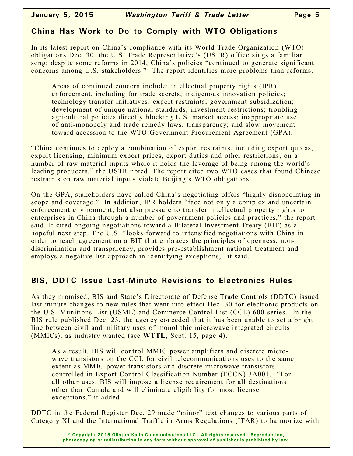## **China Has Work to Do to Comply with WTO Obligations**

In its latest report on China's compliance with its World Trade Organization (WTO) obligations Dec. 30, the U.S. Trade Representative's (USTR) office sings a familiar song: despite some reforms in 2014, China's policies "continued to generate significant concerns among U.S. stakeholders." The report identifies more problems than reforms.

Areas of continued concern include: intellectual property rights (IPR) enforcement, including for trade secrets; indigenous innovation policies; technology transfer initiatives; export restraints; government subsidization; development of unique national standards; investment restrictions; troubling agricultural policies directly blocking U.S. market access; inappropriate use of anti-monopoly and trade remedy laws; transparency; and slow movement toward accession to the WTO Government Procurement Agreement (GPA).

"China continues to deploy a combination of export restraints, including export quotas, export licensing, minimum export prices, export duties and other restrictions, on a number of raw material inputs where it holds the leverage of being among the world's leading producers," the USTR noted. The report cited two WTO cases that found Chinese restraints on raw material inputs violate Beijing's WTO obligations.

On the GPA, stakeholders have called China's negotiating offers "highly disappointing in scope and coverage." In addition, IPR holders "face not only a complex and uncertain enforcement environment, but also pressure to transfer intellectual property rights to enterprises in China through a number of government policies and practices," the report said. It cited ongoing negotiations toward a Bilateral Investment Treaty (BIT) as a hopeful next step. The U.S. "looks forward to intensified negotiations with China in order to reach agreement on a BIT that embraces the principles of openness, nondiscrimination and transparency, provides pre-establishment national treatment and employs a negative list approach in identifying exceptions," it said.

# **BIS, DDTC Issue Last-Minute Revisions to Electronics Rules**

As they promised, BIS and State's Directorate of Defense Trade Controls (DDTC) issued last-minute changes to new rules that went into effect Dec. 30 for electronic products on the U.S. Munitions List (USML) and Commerce Control List (CCL) 600-series. In the BIS rule published Dec. 23, the agency conceded that it has been unable to set a bright line between civil and military uses of monolithic microwave integrated circuits (MMICs), as industry wanted (see **WTTL**, Sept. 15, page 4).

As a result, BIS will control MMIC power amplifiers and discrete microwave transistors on the CCL for civil telecommunications uses to the same extent as MMIC power transistors and discrete microwave transistors controlled in Export Control Classification Number (ECCN) 3A001. "For all other uses, BIS will impose a license requirement for all destinations other than Canada and will eliminate eligibility for most license exceptions," it added.

DDTC in the Federal Register Dec. 29 made "minor" text changes to various parts of Category XI and the International Traffic in Arms Regulations (ITAR) to harmonize with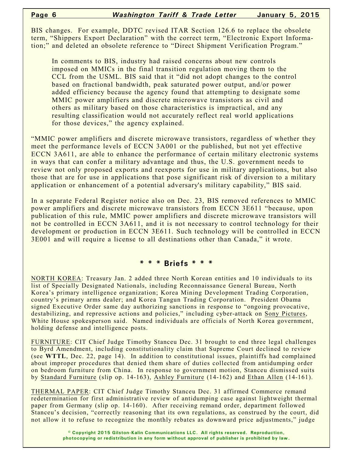BIS changes. For example, DDTC revised ITAR Section 126.6 to replace the obsolete term, "Shippers Export Declaration" with the correct term, "Electronic Export Information;" and deleted an obsolete reference to "Direct Shipment Verification Program."

In comments to BIS, industry had raised concerns about new controls imposed on MMICs in the final transition regulation moving them to the CCL from the USML. BIS said that it "did not adopt changes to the control based on fractional bandwidth, peak saturated power output, and/or power added efficiency because the agency found that attempting to designate some MMIC power amplifiers and discrete microwave transistors as civil and others as military based on those characteristics is impractical, and any resulting classification would not accurately reflect real world applications for those devices," the agency explained.

"MMIC power amplifiers and discrete microwave transistors, regardless of whether they meet the performance levels of ECCN 3A001 or the published, but not yet effective ECCN 3A611, are able to enhance the performance of certain military electronic systems in ways that can confer a military advantage and thus, the U.S. government needs to review not only proposed exports and reexports for use in military applications, but also those that are for use in applications that pose significant risk of diversion to a military application or enhancement of a potential adversary's military capability," BIS said.

In a separate Federal Register notice also on Dec. 23, BIS removed references to MMIC power amplifiers and discrete microwave transistors from ECCN 3E611 "because, upon publication of this rule, MMIC power amplifiers and discrete microwave transistors will not be controlled in ECCN 3A611, and it is not necessary to control technology for their development or production in ECCN 3E611. Such technology will be controlled in ECCN 3E001 and will require a license to all destinations other than Canada," it wrote.

#### **\* \* \* Briefs \* \* \***

NORTH KOREA: Treasury Jan. 2 added three North Korean entities and 10 individuals to its list of Specially Designated Nationals, including Reconnaissance General Bureau, North Korea's primary intelligence organization; Korea Mining Development Trading Corporation, country's primary arms dealer; and Korea Tangun Trading Corporation. President Obama signed Executive Order same day authorizing sanctions in response to "ongoing provocative, destabilizing, and repressive actions and policies," including cyber-attack on Sony Pictures, White House spokesperson said. Named individuals are officials of North Korea government, holding defense and intelligence posts.

FURNITURE: CIT Chief Judge Timothy Stanceu Dec. 31 brought to end three legal challenges to Byrd Amendment, including constitutionality claim that Supreme Court declined to review (see **WTTL**, Dec. 22, page 14). In addition to constitutional issues, plaintiffs had complained about improper procedures that denied them share of duties collected from antidumping order on bedroom furniture from China. In response to government motion, Stanceu dismissed suits by Standard Furniture (slip op. 14-163), Ashley Furniture (14-162) and Ethan Allen (14-161).

THERMAL PAPER: CIT Chief Judge Timothy Stanceu Dec. 31 affirmed Commerce remand redetermination for first administrative review of antidumping case against lightweight thermal paper from Germany (slip op. 14-160). After receiving remand order, department followed Stanceu's decision, "correctly reasoning that its own regulations, as construed by the court, did not allow it to refuse to recognize the monthly rebates as downward price adjustments," judge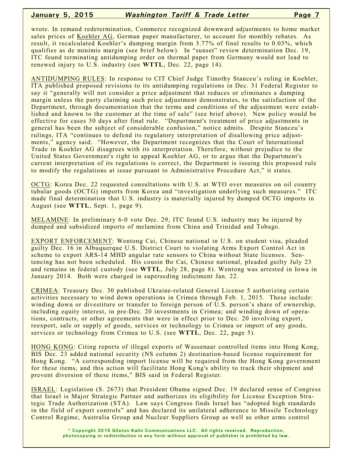#### **January 5, 2015** *Washington Tariff & Trade Letter* **Page 7**

wrote. In remand redetermination, Commerce recognized downward adjustments to home market sales prices of Koehler AG, German paper manufacturer, to account for monthly rebates. As result, it recalculated Koehler's dumping margin from 3.77% of final results to 0.03%, which qualifies as de minimis margin (see brief below). In "sunset" review determination Dec. 19, ITC found terminating antidumping order on thermal paper from Germany would not lead to renewed injury to U.S. industry (see **WTTL**, Dec. 22, page 14).

ANTIDUMPING RULES: In response to CIT Chief Judge Timothy Stanceu's ruling in Koehler, ITA published proposed revisions to its antidumping regulations in Dec. 31 Federal Register to say it "generally will not consider a price adjustment that reduces or eliminates a dumping margin unless the party claiming such price adjustment demonstrates, to the satisfaction of the Department, through documentation that the terms and conditions of the adjustment were established and known to the customer at the time of sale" (see brief above). New policy would be effective for cases 30 days after final rule. "Department's treatment of price adjustments in general has been the subject of considerable confusion," notice admits. Despite Stanceu's rulings, ITA "continues to defend its regulatory interpretation of disallowing price adjustments," agency said. "However, the Department recognizes that the Court of International Trade in Koehler AG disagrees with its interpretation. Therefore, without prejudice to the United States Government's right to appeal Koehler AG, or to argue that the Department's current interpretation of its regulations is correct, the Department is issuing this proposed rule to modify the regulations at issue pursuant to Administrative Procedure Act," it states.

OCTG: Korea Dec. 22 requested consultations with U.S. at WTO over measures on oil country tubular goods (OCTG) imports from Korea and "investigation underlying such measures." ITC made final determination that U.S. industry is materially injured by dumped OCTG imports in August (see **WTTL**, Sept. 1, page 9).

MELAMINE: In preliminary 6-0 vote Dec. 29, ITC found U.S. industry may be injured by dumped and subsidized imports of melamine from China and Trinidad and Tobago.

EXPORT ENFORCEMENT: Wentong Cai, Chinese national in U.S. on student visa, pleaded guilty Dec. 16 in Albuquerque U.S. District Court to violating Arms Export Control Act in scheme to export ARS-14 MHD angular rate sensors to China without State licenses. Sentencing has not been scheduled. His cousin Bo Cai, Chinese national, pleaded guilty July 23 and remains in federal custody (see **WTTL**, July 28, page 8). Wentong was arrested in Iowa in January 2014. Both were charged in superseding indictment Jan. 22.

CRIMEA: Treasury Dec. 30 published Ukraine-related General License 5 authorizing certain activities necessary to wind down operations in Crimea through Feb. 1, 2015. These include: winding down or divestiture or transfer to foreign person of U.S. person's share of ownership, including equity interest, in pre-Dec. 20 investments in Crimea; and winding down of operations, contracts, or other agreements that were in effect prior to Dec. 20 involving export, reexport, sale or supply of goods, services or technology to Crimea or import of any goods, services or technology from Crimea to U.S. (see **WTTL**, Dec. 22, page 5).

HONG KONG: Citing reports of illegal exports of Wassenaar controlled items into Hong Kong, BIS Dec. 23 added national security (NS column 2) destination-based license requirement for Hong Kong. "A corresponding import license will be required from the Hong Kong government for these items, and this action will facilitate Hong Kong's ability to track their shipment and prevent diversion of these items," BIS said in Federal Register.

ISRAEL: Legislation (S. 2673) that President Obama signed Dec. 19 declared sense of Congress that Israel is Major Strategic Partner and authorizes its eligibility for License Exception Strategic Trade Authorization (STA). Law says Congress finds Israel has "adopted high standards in the field of export controls" and has declared its unilateral adherence to Missile Technology Control Regime, Australia Group and Nuclear Suppliers Group as well as other arms control